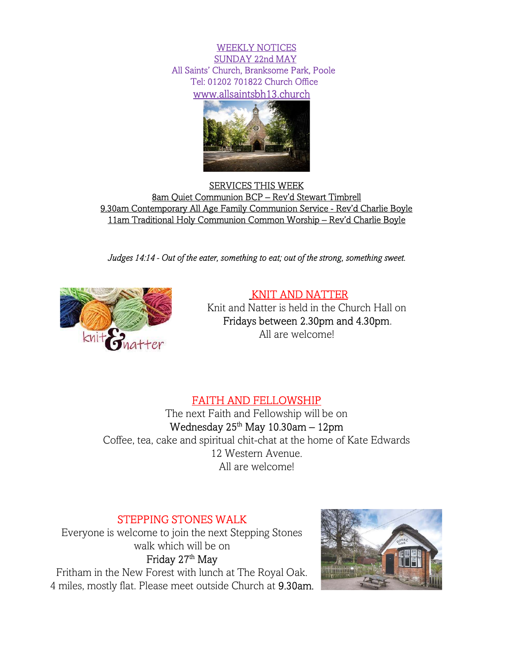WEEKLY NOTICES SUNDAY 22nd MAY All Saints' Church, Branksome Park, Poole   Tel: 01202 701822 Church Office www.allsaintsbh13.church



SERVICES THIS WEEK 8am Quiet Communion BCP – Rev'd Stewart Timbrell 9.30am Contemporary All Age Family Communion Service - Rev'd Charlie Boyle 11am Traditional Holy Communion Common Worship – Rev'd Charlie Boyle

Judges 14:14 - Out of the eater, something to eat; out of the strong, something sweet.



# KNIT AND NATTER

Knit and Natter is held in the Church Hall on Fridays between 2.30pm and 4.30pm. All are welcome!

# FAITH AND FELLOWSHIP

The next Faith and Fellowship will be on Wednesday  $25<sup>th</sup>$  May 10.30am – 12pm Coffee, tea, cake and spiritual chit-chat at the home of Kate Edwards 12 Western Avenue. All are welcome!

# STEPPING STONES WALK

Everyone is welcome to join the next Stepping Stones walk which will be on Friday 27<sup>th</sup> May

Fritham in the New Forest with lunch at The Royal Oak. 4 miles, mostly flat. Please meet outside Church at 9.30am.

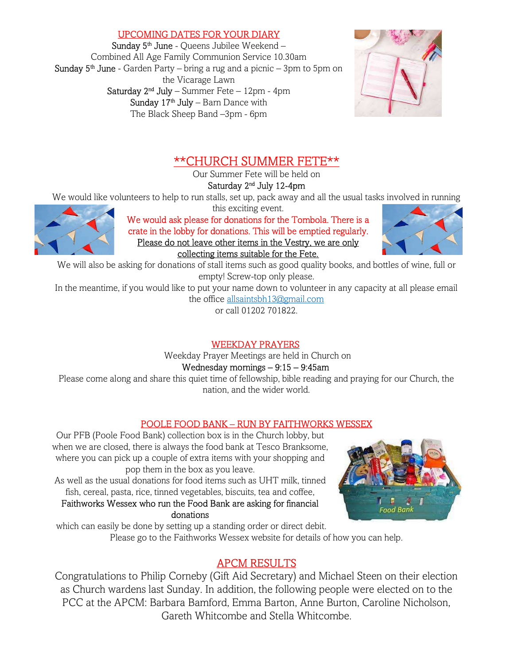## UPCOMING DATES FOR YOUR DIARY

Sunday 5<sup>th</sup> June - Queens Jubilee Weekend -Combined All Age Family Communion Service 10.30am **Sunday**  $5<sup>th</sup>$  **June** - Garden Party – bring a rug and a picnic – 3pm to 5pm on the Vicarage Lawn Saturday  $2<sup>nd</sup>$  July – Summer Fete – 12pm - 4pm Sunday  $17<sup>th</sup>$  July – Barn Dance with The Black Sheep Band –3pm - 6pm



# \*\*CHURCH SUMMER FETE\*\*

Our Summer Fete will be held on

Saturday 2nd July 12-4pm

We would like volunteers to help to run stalls, set up, pack away and all the usual tasks involved in running



this exciting event. We would ask please for donations for the Tombola. There is a crate in the lobby for donations. This will be emptied regularly. Please do not leave other items in the Vestry, we are only collecting items suitable for the Fete.



We will also be asking for donations of stall items such as good quality books, and bottles of wine, full or empty! Screw-top only please.

In the meantime, if you would like to put your name down to volunteer in any capacity at all please email the office allsaintsbh13@gmail.com

or call 01202 701822.

# WEEKDAY PRAYERS

Weekday Prayer Meetings are held in Church on

Wednesday mornings – 9:15 – 9:45am

Please come along and share this quiet time of fellowship, bible reading and praying for our Church, the nation, and the wider world.

# POOLE FOOD BANK – RUN BY FAITHWORKS WESSEX

Our PFB (Poole Food Bank) collection box is in the Church lobby, but when we are closed, there is always the food bank at Tesco Branksome, where you can pick up a couple of extra items with your shopping and pop them in the box as you leave.

As well as the usual donations for food items such as UHT milk, tinned fish, cereal, pasta, rice, tinned vegetables, biscuits, tea and coffee,

Faithworks Wessex who run the Food Bank are asking for financial donations



 which can easily be done by setting up a standing order or direct debit. Please go to the Faithworks Wessex website for details of how you can help.

# APCM RESULTS

Congratulations to Philip Corneby (Gift Aid Secretary) and Michael Steen on their election as Church wardens last Sunday. In addition, the following people were elected on to the PCC at the APCM: Barbara Bamford, Emma Barton, Anne Burton, Caroline Nicholson, Gareth Whitcombe and Stella Whitcombe.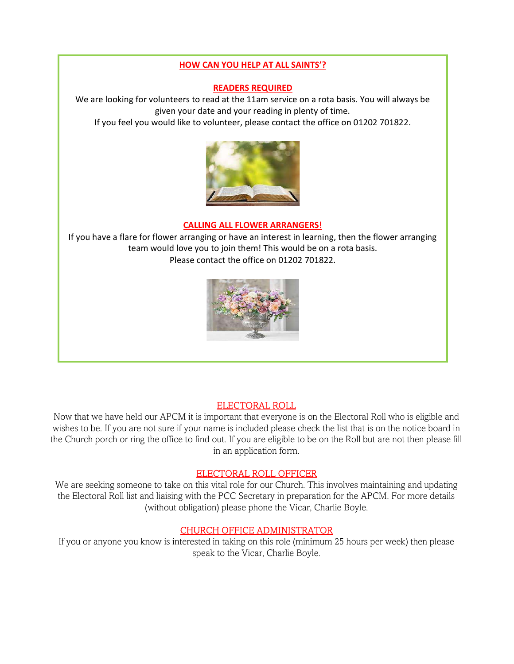#### HOW CAN YOU HELP AT ALL SAINTS'?

#### READERS REQUIRED

We are looking for volunteers to read at the 11am service on a rota basis. You will always be given your date and your reading in plenty of time.

If you feel you would like to volunteer, please contact the office on 01202 701822.



### CALLING ALL FLOWER ARRANGERS!

If you have a flare for flower arranging or have an interest in learning, then the flower arranging team would love you to join them! This would be on a rota basis. Please contact the office on 01202 701822.



## ELECTORAL ROLL

Now that we have held our APCM it is important that everyone is on the Electoral Roll who is eligible and wishes to be. If you are not sure if your name is included please check the list that is on the notice board in the Church porch or ring the office to find out. If you are eligible to be on the Roll but are not then please fill in an application form.

## ELECTORAL ROLL OFFICER

We are seeking someone to take on this vital role for our Church. This involves maintaining and updating the Electoral Roll list and liaising with the PCC Secretary in preparation for the APCM. For more details (without obligation) please phone the Vicar, Charlie Boyle.

## CHURCH OFFICE ADMINISTRATOR

If you or anyone you know is interested in taking on this role (minimum 25 hours per week) then please speak to the Vicar, Charlie Boyle.